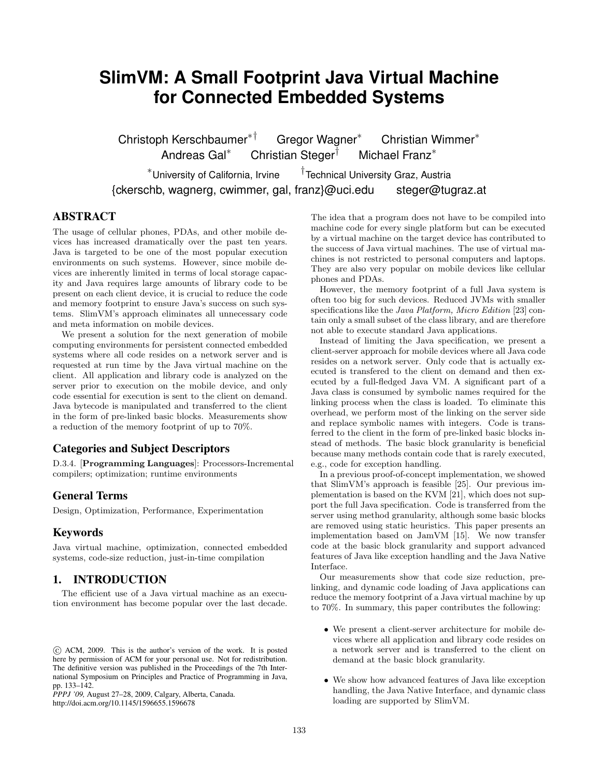# **SlimVM: A Small Footprint Java Virtual Machine for Connected Embedded Systems**

Christoph Kerschbaumer<sup>∗†</sup> Gregor Wagner<sup>\*</sup> Christian Wimmer<sup>\*</sup> Andreas Gal<sup>∗</sup> Christian Steger<sup>†</sup> Michael Franz<sup>∗</sup>

<sup>∗</sup>University of California, Irvine †  $\dagger$ Technical University Graz, Austria {ckerschb, wagnerg, cwimmer, gal, franz}@uci.edu steger@tugraz.at

# ABSTRACT

The usage of cellular phones, PDAs, and other mobile devices has increased dramatically over the past ten years. Java is targeted to be one of the most popular execution environments on such systems. However, since mobile devices are inherently limited in terms of local storage capacity and Java requires large amounts of library code to be present on each client device, it is crucial to reduce the code and memory footprint to ensure Java's success on such systems. SlimVM's approach eliminates all unnecessary code and meta information on mobile devices.

We present a solution for the next generation of mobile computing environments for persistent connected embedded systems where all code resides on a network server and is requested at run time by the Java virtual machine on the client. All application and library code is analyzed on the server prior to execution on the mobile device, and only code essential for execution is sent to the client on demand. Java bytecode is manipulated and transferred to the client in the form of pre-linked basic blocks. Measurements show a reduction of the memory footprint of up to 70%.

## Categories and Subject Descriptors

D.3.4. [Programming Languages]: Processors-Incremental compilers; optimization; runtime environments

## General Terms

Design, Optimization, Performance, Experimentation

#### Keywords

Java virtual machine, optimization, connected embedded systems, code-size reduction, just-in-time compilation

## 1. INTRODUCTION

The efficient use of a Java virtual machine as an execution environment has become popular over the last decade.

*PPPJ '09,* August 27–28, 2009, Calgary, Alberta, Canada. http://doi.acm.org/10.1145/1596655.1596678

The idea that a program does not have to be compiled into machine code for every single platform but can be executed by a virtual machine on the target device has contributed to the success of Java virtual machines. The use of virtual machines is not restricted to personal computers and laptops. They are also very popular on mobile devices like cellular phones and PDAs.

However, the memory footprint of a full Java system is often too big for such devices. Reduced JVMs with smaller specifications like the Java Platform, Micro Edition [23] contain only a small subset of the class library, and are therefore not able to execute standard Java applications.

Instead of limiting the Java specification, we present a client-server approach for mobile devices where all Java code resides on a network server. Only code that is actually executed is transfered to the client on demand and then executed by a full-fledged Java VM. A significant part of a Java class is consumed by symbolic names required for the linking process when the class is loaded. To eliminate this overhead, we perform most of the linking on the server side and replace symbolic names with integers. Code is transferred to the client in the form of pre-linked basic blocks instead of methods. The basic block granularity is beneficial because many methods contain code that is rarely executed, e.g., code for exception handling.

In a previous proof-of-concept implementation, we showed that SlimVM's approach is feasible [25]. Our previous implementation is based on the KVM [21], which does not support the full Java specification. Code is transferred from the server using method granularity, although some basic blocks are removed using static heuristics. This paper presents an implementation based on JamVM [15]. We now transfer code at the basic block granularity and support advanced features of Java like exception handling and the Java Native Interface.

Our measurements show that code size reduction, prelinking, and dynamic code loading of Java applications can reduce the memory footprint of a Java virtual machine by up to 70%. In summary, this paper contributes the following:

- We present a client-server architecture for mobile devices where all application and library code resides on a network server and is transferred to the client on demand at the basic block granularity.
- We show how advanced features of Java like exception handling, the Java Native Interface, and dynamic class loading are supported by SlimVM.

c ACM, 2009. This is the author's version of the work. It is posted here by permission of ACM for your personal use. Not for redistribution. The definitive version was published in the Proceedings of the 7th International Symposium on Principles and Practice of Programming in Java, pp. 133–142.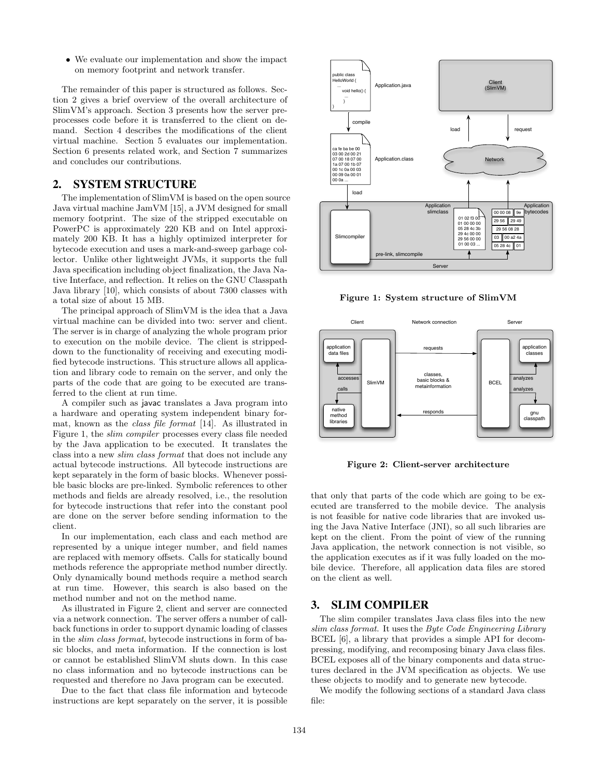• We evaluate our implementation and show the impact on memory footprint and network transfer.

The remainder of this paper is structured as follows. Section 2 gives a brief overview of the overall architecture of SlimVM's approach. Section 3 presents how the server preprocesses code before it is transferred to the client on demand. Section 4 describes the modifications of the client virtual machine. Section 5 evaluates our implementation. Section 6 presents related work, and Section 7 summarizes and concludes our contributions.

# 2. SYSTEM STRUCTURE

The implementation of SlimVM is based on the open source Java virtual machine JamVM [15], a JVM designed for small memory footprint. The size of the stripped executable on PowerPC is approximately 220 KB and on Intel approximately 200 KB. It has a highly optimized interpreter for bytecode execution and uses a mark-and-sweep garbage collector. Unlike other lightweight JVMs, it supports the full Java specification including object finalization, the Java Native Interface, and reflection. It relies on the GNU Classpath Java library [10], which consists of about 7300 classes with a total size of about 15 MB.

The principal approach of SlimVM is the idea that a Java virtual machine can be divided into two: server and client. The server is in charge of analyzing the whole program prior to execution on the mobile device. The client is strippeddown to the functionality of receiving and executing modified bytecode instructions. This structure allows all application and library code to remain on the server, and only the parts of the code that are going to be executed are transferred to the client at run time.

A compiler such as javac translates a Java program into a hardware and operating system independent binary format, known as the class file format [14]. As illustrated in Figure 1, the slim compiler processes every class file needed by the Java application to be executed. It translates the class into a new slim class format that does not include any actual bytecode instructions. All bytecode instructions are kept separately in the form of basic blocks. Whenever possible basic blocks are pre-linked. Symbolic references to other methods and fields are already resolved, i.e., the resolution for bytecode instructions that refer into the constant pool are done on the server before sending information to the client.

In our implementation, each class and each method are represented by a unique integer number, and field names are replaced with memory offsets. Calls for statically bound methods reference the appropriate method number directly. Only dynamically bound methods require a method search at run time. However, this search is also based on the method number and not on the method name.

As illustrated in Figure 2, client and server are connected via a network connection. The server offers a number of callback functions in order to support dynamic loading of classes in the slim class format, bytecode instructions in form of basic blocks, and meta information. If the connection is lost or cannot be established SlimVM shuts down. In this case no class information and no bytecode instructions can be requested and therefore no Java program can be executed.

Due to the fact that class file information and bytecode instructions are kept separately on the server, it is possible



Figure 1: System structure of SlimVM



Figure 2: Client-server architecture

that only that parts of the code which are going to be executed are transferred to the mobile device. The analysis is not feasible for native code libraries that are invoked using the Java Native Interface (JNI), so all such libraries are kept on the client. From the point of view of the running Java application, the network connection is not visible, so the application executes as if it was fully loaded on the mobile device. Therefore, all application data files are stored on the client as well.

#### 3. SLIM COMPILER

The slim compiler translates Java class files into the new slim class format. It uses the Byte Code Engineering Library BCEL [6], a library that provides a simple API for decompressing, modifying, and recomposing binary Java class files. BCEL exposes all of the binary components and data structures declared in the JVM specification as objects. We use these objects to modify and to generate new bytecode.

We modify the following sections of a standard Java class file: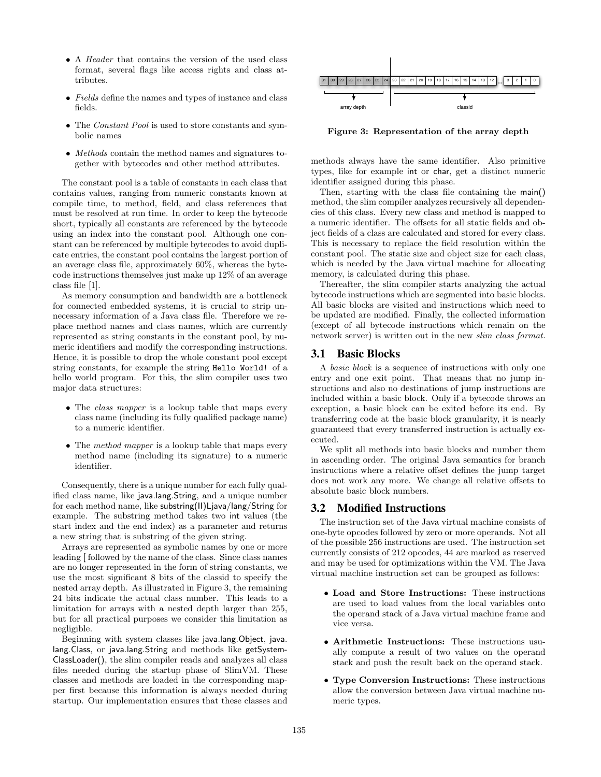- A Header that contains the version of the used class format, several flags like access rights and class attributes.
- Fields define the names and types of instance and class fields.
- The *Constant Pool* is used to store constants and symbolic names
- *Methods* contain the method names and signatures together with bytecodes and other method attributes.

The constant pool is a table of constants in each class that contains values, ranging from numeric constants known at compile time, to method, field, and class references that must be resolved at run time. In order to keep the bytecode short, typically all constants are referenced by the bytecode using an index into the constant pool. Although one constant can be referenced by multiple bytecodes to avoid duplicate entries, the constant pool contains the largest portion of an average class file, approximately 60%, whereas the bytecode instructions themselves just make up 12% of an average class file [1].

As memory consumption and bandwidth are a bottleneck for connected embedded systems, it is crucial to strip unnecessary information of a Java class file. Therefore we replace method names and class names, which are currently represented as string constants in the constant pool, by numeric identifiers and modify the corresponding instructions. Hence, it is possible to drop the whole constant pool except string constants, for example the string Hello World! of a hello world program. For this, the slim compiler uses two major data structures:

- The *class mapper* is a lookup table that maps every class name (including its fully qualified package name) to a numeric identifier.
- The method mapper is a lookup table that maps every method name (including its signature) to a numeric identifier.

Consequently, there is a unique number for each fully qualified class name, like java.lang.String, and a unique number for each method name, like substring(II)Ljava/lang/String for example. The substring method takes two int values (the start index and the end index) as a parameter and returns a new string that is substring of the given string.

Arrays are represented as symbolic names by one or more leading [ followed by the name of the class. Since class names are no longer represented in the form of string constants, we use the most significant 8 bits of the classid to specify the nested array depth. As illustrated in Figure 3, the remaining 24 bits indicate the actual class number. This leads to a limitation for arrays with a nested depth larger than 255, but for all practical purposes we consider this limitation as negligible.

Beginning with system classes like java.lang.Object, java. lang. Class, or java.lang. String and methods like getSystem-ClassLoader(), the slim compiler reads and analyzes all class files needed during the startup phase of SlimVM. These classes and methods are loaded in the corresponding mapper first because this information is always needed during startup. Our implementation ensures that these classes and

|             | $31$ 30 |  |  |  |  |  |         |  |  |  |  |  |  |  |  |  |  | 29 28 27 26 25 24 23 22 21 20 19 18 17 16 15 14 13 12 |  | $^{\prime}$ 2. | $\overline{0}$ |  |
|-------------|---------|--|--|--|--|--|---------|--|--|--|--|--|--|--|--|--|--|-------------------------------------------------------|--|----------------|----------------|--|
|             |         |  |  |  |  |  |         |  |  |  |  |  |  |  |  |  |  |                                                       |  |                |                |  |
| array depth |         |  |  |  |  |  | classid |  |  |  |  |  |  |  |  |  |  |                                                       |  |                |                |  |

Figure 3: Representation of the array depth

methods always have the same identifier. Also primitive types, like for example int or char, get a distinct numeric identifier assigned during this phase.

Then, starting with the class file containing the main() method, the slim compiler analyzes recursively all dependencies of this class. Every new class and method is mapped to a numeric identifier. The offsets for all static fields and object fields of a class are calculated and stored for every class. This is necessary to replace the field resolution within the constant pool. The static size and object size for each class, which is needed by the Java virtual machine for allocating memory, is calculated during this phase.

Thereafter, the slim compiler starts analyzing the actual bytecode instructions which are segmented into basic blocks. All basic blocks are visited and instructions which need to be updated are modified. Finally, the collected information (except of all bytecode instructions which remain on the network server) is written out in the new slim class format.

## 3.1 Basic Blocks

A basic block is a sequence of instructions with only one entry and one exit point. That means that no jump instructions and also no destinations of jump instructions are included within a basic block. Only if a bytecode throws an exception, a basic block can be exited before its end. By transferring code at the basic block granularity, it is nearly guaranteed that every transferred instruction is actually executed.

We split all methods into basic blocks and number them in ascending order. The original Java semantics for branch instructions where a relative offset defines the jump target does not work any more. We change all relative offsets to absolute basic block numbers.

## 3.2 Modified Instructions

The instruction set of the Java virtual machine consists of one-byte opcodes followed by zero or more operands. Not all of the possible 256 instructions are used. The instruction set currently consists of 212 opcodes, 44 are marked as reserved and may be used for optimizations within the VM. The Java virtual machine instruction set can be grouped as follows:

- Load and Store Instructions: These instructions are used to load values from the local variables onto the operand stack of a Java virtual machine frame and vice versa.
- Arithmetic Instructions: These instructions usually compute a result of two values on the operand stack and push the result back on the operand stack.
- Type Conversion Instructions: These instructions allow the conversion between Java virtual machine numeric types.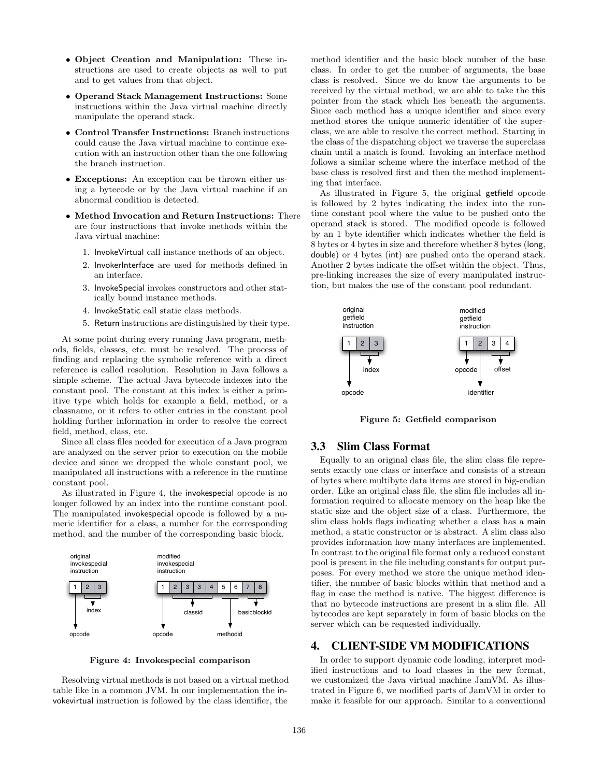- Object Creation and Manipulation: These instructions are used to create objects as well to put and to get values from that object.
- Operand Stack Management Instructions: Some instructions within the Java virtual machine directly manipulate the operand stack.
- Control Transfer Instructions: Branch instructions could cause the Java virtual machine to continue execution with an instruction other than the one following the branch instruction.
- Exceptions: An exception can be thrown either using a bytecode or by the Java virtual machine if an abnormal condition is detected.
- Method Invocation and Return Instructions: There are four instructions that invoke methods within the Java virtual machine:
	- 1. InvokeVirtual call instance methods of an object.
	- 2. InvokerInterface are used for methods defined in an interface.
	- 3. InvokeSpecial invokes constructors and other statically bound instance methods.
	- 4. InvokeStatic call static class methods.
	- 5. Return instructions are distinguished by their type.

At some point during every running Java program, methods, fields, classes, etc. must be resolved. The process of finding and replacing the symbolic reference with a direct reference is called resolution. Resolution in Java follows a simple scheme. The actual Java bytecode indexes into the constant pool. The constant at this index is either a primitive type which holds for example a field, method, or a classname, or it refers to other entries in the constant pool holding further information in order to resolve the correct field, method, class, etc.

Since all class files needed for execution of a Java program are analyzed on the server prior to execution on the mobile device and since we dropped the whole constant pool, we manipulated all instructions with a reference in the runtime constant pool.

As illustrated in Figure 4, the invokespecial opcode is no longer followed by an index into the runtime constant pool. The manipulated invokespecial opcode is followed by a numeric identifier for a class, a number for the corresponding method, and the number of the corresponding basic block.



Figure 4: Invokespecial comparison

Resolving virtual methods is not based on a virtual method table like in a common JVM. In our implementation the invokevirtual instruction is followed by the class identifier, the

method identifier and the basic block number of the base class. In order to get the number of arguments, the base class is resolved. Since we do know the arguments to be received by the virtual method, we are able to take the this pointer from the stack which lies beneath the arguments. Since each method has a unique identifier and since every method stores the unique numeric identifier of the superclass, we are able to resolve the correct method. Starting in the class of the dispatching object we traverse the superclass chain until a match is found. Invoking an interface method follows a similar scheme where the interface method of the base class is resolved first and then the method implementing that interface.

As illustrated in Figure 5, the original getfield opcode is followed by 2 bytes indicating the index into the runtime constant pool where the value to be pushed onto the operand stack is stored. The modified opcode is followed by an 1 byte identifier which indicates whether the field is 8 bytes or 4 bytes in size and therefore whether 8 bytes (long, double) or 4 bytes (int) are pushed onto the operand stack. Another 2 bytes indicate the offset within the object. Thus, pre-linking increases the size of every manipulated instruction, but makes the use of the constant pool redundant.



Figure 5: Getfield comparison

#### 3.3 Slim Class Format

Equally to an original class file, the slim class file represents exactly one class or interface and consists of a stream of bytes where multibyte data items are stored in big-endian order. Like an original class file, the slim file includes all information required to allocate memory on the heap like the static size and the object size of a class. Furthermore, the slim class holds flags indicating whether a class has a main method, a static constructor or is abstract. A slim class also provides information how many interfaces are implemented. In contrast to the original file format only a reduced constant pool is present in the file including constants for output purposes. For every method we store the unique method identifier, the number of basic blocks within that method and a flag in case the method is native. The biggest difference is that no bytecode instructions are present in a slim file. All bytecodes are kept separately in form of basic blocks on the server which can be requested individually.

#### 4. CLIENT-SIDE VM MODIFICATIONS

In order to support dynamic code loading, interpret modified instructions and to load classes in the new format, we customized the Java virtual machine JamVM. As illustrated in Figure 6, we modified parts of JamVM in order to make it feasible for our approach. Similar to a conventional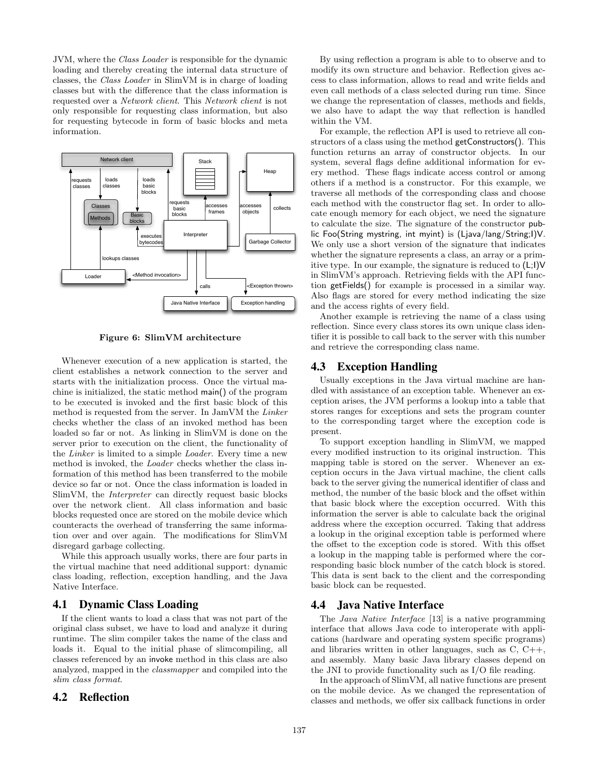JVM, where the Class Loader is responsible for the dynamic loading and thereby creating the internal data structure of classes, the Class Loader in SlimVM is in charge of loading classes but with the difference that the class information is requested over a Network client. This Network client is not only responsible for requesting class information, but also for requesting bytecode in form of basic blocks and meta information.



Figure 6: SlimVM architecture

Whenever execution of a new application is started, the client establishes a network connection to the server and starts with the initialization process. Once the virtual machine is initialized, the static method main() of the program to be executed is invoked and the first basic block of this method is requested from the server. In JamVM the Linker checks whether the class of an invoked method has been loaded so far or not. As linking in SlimVM is done on the server prior to execution on the client, the functionality of the Linker is limited to a simple Loader. Every time a new method is invoked, the Loader checks whether the class information of this method has been transferred to the mobile device so far or not. Once the class information is loaded in SlimVM, the Interpreter can directly request basic blocks over the network client. All class information and basic blocks requested once are stored on the mobile device which counteracts the overhead of transferring the same information over and over again. The modifications for SlimVM disregard garbage collecting.

While this approach usually works, there are four parts in the virtual machine that need additional support: dynamic class loading, reflection, exception handling, and the Java Native Interface.

#### 4.1 Dynamic Class Loading

If the client wants to load a class that was not part of the original class subset, we have to load and analyze it during runtime. The slim compiler takes the name of the class and loads it. Equal to the initial phase of slimcompiling, all classes referenced by an invoke method in this class are also analyzed, mapped in the classmapper and compiled into the slim class format.

#### 4.2 Reflection

By using reflection a program is able to to observe and to modify its own structure and behavior. Reflection gives access to class information, allows to read and write fields and even call methods of a class selected during run time. Since we change the representation of classes, methods and fields, we also have to adapt the way that reflection is handled within the VM.

For example, the reflection API is used to retrieve all constructors of a class using the method getConstructors(). This function returns an array of constructor objects. In our system, several flags define additional information for every method. These flags indicate access control or among others if a method is a constructor. For this example, we traverse all methods of the corresponding class and choose each method with the constructor flag set. In order to allocate enough memory for each object, we need the signature to calculate the size. The signature of the constructor public Foo(String mystring, int myint) is (Ljava/lang/String;I)V. We only use a short version of the signature that indicates whether the signature represents a class, an array or a primitive type. In our example, the signature is reduced to  $(L;I)V$ in SlimVM's approach. Retrieving fields with the API function getFields() for example is processed in a similar way. Also flags are stored for every method indicating the size and the access rights of every field.

Another example is retrieving the name of a class using reflection. Since every class stores its own unique class identifier it is possible to call back to the server with this number and retrieve the corresponding class name.

#### 4.3 Exception Handling

Usually exceptions in the Java virtual machine are handled with assistance of an exception table. Whenever an exception arises, the JVM performs a lookup into a table that stores ranges for exceptions and sets the program counter to the corresponding target where the exception code is present.

To support exception handling in SlimVM, we mapped every modified instruction to its original instruction. This mapping table is stored on the server. Whenever an exception occurs in the Java virtual machine, the client calls back to the server giving the numerical identifier of class and method, the number of the basic block and the offset within that basic block where the exception occurred. With this information the server is able to calculate back the original address where the exception occurred. Taking that address a lookup in the original exception table is performed where the offset to the exception code is stored. With this offset a lookup in the mapping table is performed where the corresponding basic block number of the catch block is stored. This data is sent back to the client and the corresponding basic block can be requested.

#### 4.4 Java Native Interface

The Java Native Interface [13] is a native programming interface that allows Java code to interoperate with applications (hardware and operating system specific programs) and libraries written in other languages, such as C, C++, and assembly. Many basic Java library classes depend on the JNI to provide functionality such as I/O file reading.

In the approach of SlimVM, all native functions are present on the mobile device. As we changed the representation of classes and methods, we offer six callback functions in order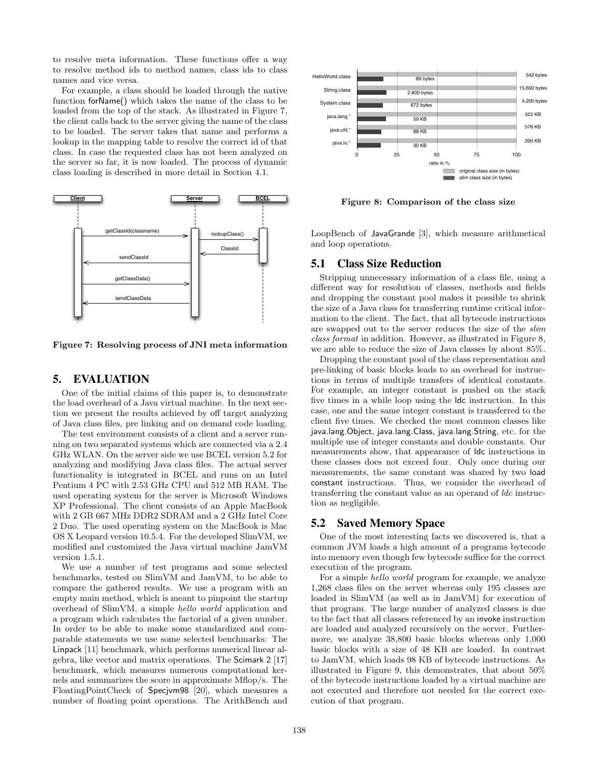to resolve meta information. These functions offer a way to resolve method ids to method names, class ids to class names and vice versa.

For example, a class should be loaded through the native function forName() which takes the name of the class to be loaded from the top of the stack. As illustrated in Figure 7, the client calls back to the server giving the name of the class to be loaded. The server takes that name and performs a lookup in the mapping table to resolve the correct id of that class. In case the requested class has not been analyzed on the server so far, it is now loaded. The process of dynamic class loading is described in more detail in Section 4.1.



Figure 7: Resolving process of JNI meta information

#### 5. EVALUATION

One of the initial claims of this paper is, to demonstrate the load overhead of a Java virtual machine. In the next section we present the results achieved by off target analyzing of Java class files, pre linking and on demand code loading.

The test environment consists of a client and a server running on two separated systems which are connected via a 2.4 GHz WLAN. On the server side we use BCEL version 5.2 for analyzing and modifying Java class files. The actual server functionality is integrated in BCEL and runs on an Intel Pentium 4 PC with 2.53 GHz CPU and 512 MB RAM. The used operating system for the server is Microsoft Windows XP Professional. The client consists of an Apple MacBook with 2 GB 667 MHz DDR2 SDRAM and a 2 GHz Intel Core 2 Duo. The used operating system on the MacBook is Mac OS X Leopard version 10.5.4. For the developed SlimVM, we modified and customized the Java virtual machine JamVM version 1.5.1.

We use a number of test programs and some selected benchmarks, tested on SlimVM and JamVM, to be able to compare the gathered results. We use a program with an empty main method, which is meant to pinpoint the startup overhead of SlimVM, a simple hello world application and a program which calculates the factorial of a given number. In order to be able to make some standardized and comparable statements we use some selected benchmarks: The Linpack [11] benchmark, which performs numerical linear algebra, like vector and matrix operations. The Scimark 2 [17] benchmark, which measures numerous computational kernels and summarizes the score in approximate Mflop/s. The FloatingPointCheck of Specjvm98 [20], which measures a number of floating point operations. The ArithBench and



Figure 8: Comparison of the class size

LoopBench of JavaGrande [3], which measure arithmetical and loop operations.

#### 5.1 Class Size Reduction

Stripping unnecessary information of a class file, using a different way for resolution of classes, methods and fields and dropping the constant pool makes it possible to shrink the size of a Java class for transferring runtime critical information to the client. The fact, that all bytecode instructions are swapped out to the server reduces the size of the slim class format in addition. However, as illustrated in Figure 8, we are able to reduce the size of Java classes by about 85%.

Dropping the constant pool of the class representation and pre-linking of basic blocks leads to an overhead for instructions in terms of multiple transfers of identical constants. For example, an integer constant is pushed on the stack five times in a while loop using the ldc instruction. In this case, one and the same integer constant is transferred to the client five times. We checked the most common classes like java.lang.Object, java.lang.Class, java.lang.String, etc. for the multiple use of integer constants and double constants. Our measurements show, that appearance of ldc instructions in these classes does not exceed four. Only once during our measurements, the same constant was shared by two load constant instructions. Thus, we consider the overhead of transferring the constant value as an operand of ldc instruction as negligible.

## 5.2 Saved Memory Space

One of the most interesting facts we discovered is, that a common JVM loads a high amount of a programs bytecode into memory even though few bytecode suffice for the correct execution of the program.

For a simple hello world program for example, we analyze 1,268 class files on the server whereas only 195 classes are loaded in SlimVM (as well as in JamVM) for execution of that program. The large number of analyzed classes is due to the fact that all classes referenced by an invoke instruction are loaded and analyzed recursively on the server. Furthermore, we analyze 38,800 basic blocks whereas only 1,000 basic blocks with a size of 48 KB are loaded. In contrast to JamVM, which loads 98 KB of bytecode instructions. As illustrated in Figure 9, this demonstrates, that about 50% of the bytecode instructions loaded by a virtual machine are not executed and therefore not needed for the correct execution of that program.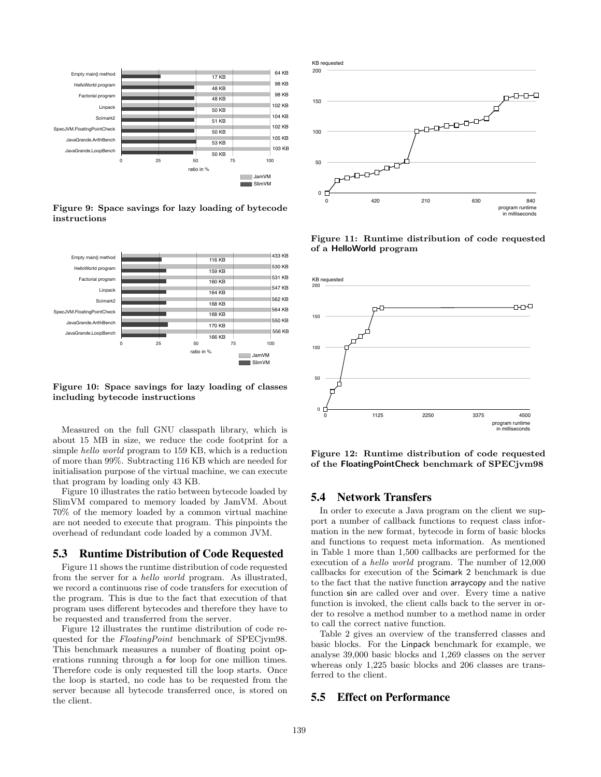

Figure 9: Space savings for lazy loading of bytecode instructions



Figure 10: Space savings for lazy loading of classes including bytecode instructions

Measured on the full GNU classpath library, which is about 15 MB in size, we reduce the code footprint for a simple hello world program to 159 KB, which is a reduction of more than 99%. Subtracting 116 KB which are needed for initialisation purpose of the virtual machine, we can execute that program by loading only 43 KB.

Figure 10 illustrates the ratio between bytecode loaded by SlimVM compared to memory loaded by JamVM. About 70% of the memory loaded by a common virtual machine are not needed to execute that program. This pinpoints the overhead of redundant code loaded by a common JVM.

#### 5.3 Runtime Distribution of Code Requested

Figure 11 shows the runtime distribution of code requested from the server for a hello world program. As illustrated, we record a continuous rise of code transfers for execution of the program. This is due to the fact that execution of that program uses different bytecodes and therefore they have to be requested and transferred from the server.

Figure 12 illustrates the runtime distribution of code requested for the FloatingPoint benchmark of SPECjvm98. This benchmark measures a number of floating point operations running through a for loop for one million times. Therefore code is only requested till the loop starts. Once the loop is started, no code has to be requested from the server because all bytecode transferred once, is stored on the client.

![](_page_6_Figure_9.jpeg)

Figure 11: Runtime distribution of code requested of a HelloWorld program

![](_page_6_Figure_11.jpeg)

Figure 12: Runtime distribution of code requested of the FloatingPointCheck benchmark of SPECjvm98

#### 5.4 Network Transfers

In order to execute a Java program on the client we support a number of callback functions to request class information in the new format, bytecode in form of basic blocks and functions to request meta information. As mentioned in Table 1 more than 1,500 callbacks are performed for the execution of a hello world program. The number of 12,000 callbacks for execution of the Scimark 2 benchmark is due to the fact that the native function arraycopy and the native function sin are called over and over. Every time a native function is invoked, the client calls back to the server in order to resolve a method number to a method name in order to call the correct native function.

Table 2 gives an overview of the transferred classes and basic blocks. For the Linpack benchmark for example, we analyse 39,000 basic blocks and 1,269 classes on the server whereas only 1,225 basic blocks and 206 classes are transferred to the client.

#### 5.5 Effect on Performance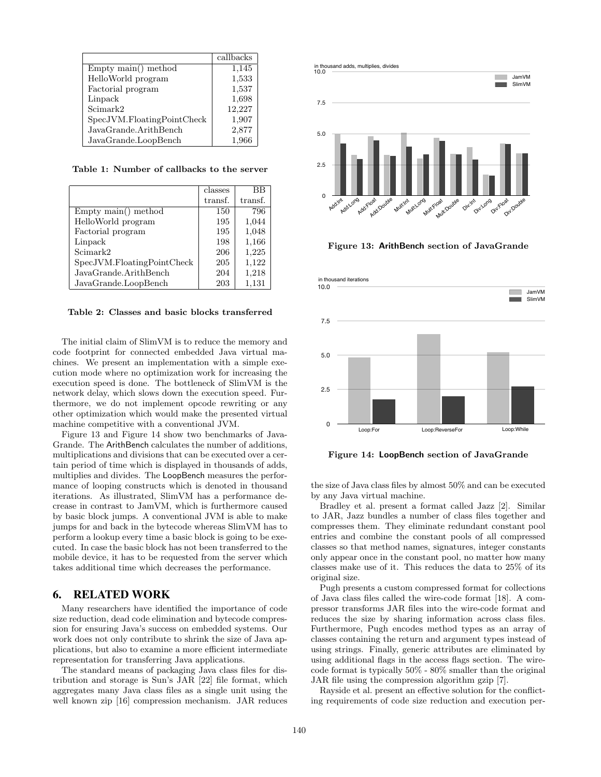|                                       | callbacks |
|---------------------------------------|-----------|
| $Empty \text{ main}() \text{ method}$ | 1,145     |
| HelloWorld program                    | 1,533     |
| Factorial program                     | 1,537     |
| Linpack                               | 1,698     |
| Scimark2                              | 12,227    |
| SpecJVM.FloatingPointCheck            | 1,907     |
| JavaGrande.ArithBench                 | 2,877     |
| JavaGrande.LoopBench                  | 1,966     |

|                            | classes | ВB      |
|----------------------------|---------|---------|
|                            | transf. | transf. |
| Empty main() method        | 150     | 796     |
| HelloWorld program         | 195     | 1,044   |
| Factorial program          | 195     | 1,048   |
| Linpack                    | 198     | 1,166   |
| Scimark2                   | 206     | 1,225   |
| SpecJVM.FloatingPointCheck | 205     | 1,122   |
| JavaGrande.ArithBench      | 204     | 1,218   |
| JavaGrande.LoopBench       | 203     | 1,131   |

#### Table 2: Classes and basic blocks transferred

The initial claim of SlimVM is to reduce the memory and code footprint for connected embedded Java virtual machines. We present an implementation with a simple execution mode where no optimization work for increasing the execution speed is done. The bottleneck of SlimVM is the network delay, which slows down the execution speed. Furthermore, we do not implement opcode rewriting or any other optimization which would make the presented virtual machine competitive with a conventional JVM.

Figure 13 and Figure 14 show two benchmarks of Java-Grande. The ArithBench calculates the number of additions, multiplications and divisions that can be executed over a certain period of time which is displayed in thousands of adds, multiplies and divides. The LoopBench measures the performance of looping constructs which is denoted in thousand iterations. As illustrated, SlimVM has a performance decrease in contrast to JamVM, which is furthermore caused by basic block jumps. A conventional JVM is able to make jumps for and back in the bytecode whereas SlimVM has to perform a lookup every time a basic block is going to be executed. In case the basic block has not been transferred to the mobile device, it has to be requested from the server which takes additional time which decreases the performance. well known zip [16] compression mechanism. JAR reduces 0

#### 6. RELATED WORK

Many researchers have identified the importance of code size reduction, dead code elimination and bytecode compression for ensuring Java's success on embedded systems. Our work does not only contribute to shrink the size of Java applications, but also to examine a more efficient intermediate representation for transferring Java applications.

The standard means of packaging Java class files for distribution and storage is Sun's JAR [22] file format, which aggregates many Java class files as a single unit using the

![](_page_7_Figure_9.jpeg)

Figure 13: ArithBench section of JavaGrande

![](_page_7_Figure_11.jpeg)

Figure 14: LoopBench section of JavaGrande

the size of Java class files by almost 50% and can be executed by any Java virtual machine.

Bradley et al. present a format called Jazz [2]. Similar to JAR, Jazz bundles a number of class files together and compresses them. They eliminate redundant constant pool entries and combine the constant pools of all compressed classes so that method names, signatures, integer constants only appear once in the constant pool, no matter how many classes make use of it. This reduces the data to 25% of its original size.

Pugh presents a custom compressed format for collections of Java class files called the wire-code format [18]. A compressor transforms JAR files into the wire-code format and reduces the size by sharing information across class files. Furthermore, Pugh encodes method types as an array of classes containing the return and argument types instead of using strings. Finally, generic attributes are eliminated by using additional flags in the access flags section. The wirecode format is typically 50% - 80% smaller than the original JAR file using the compression algorithm gzip [7].

Rayside et al. present an effective solution for the conflicting requirements of code size reduction and execution per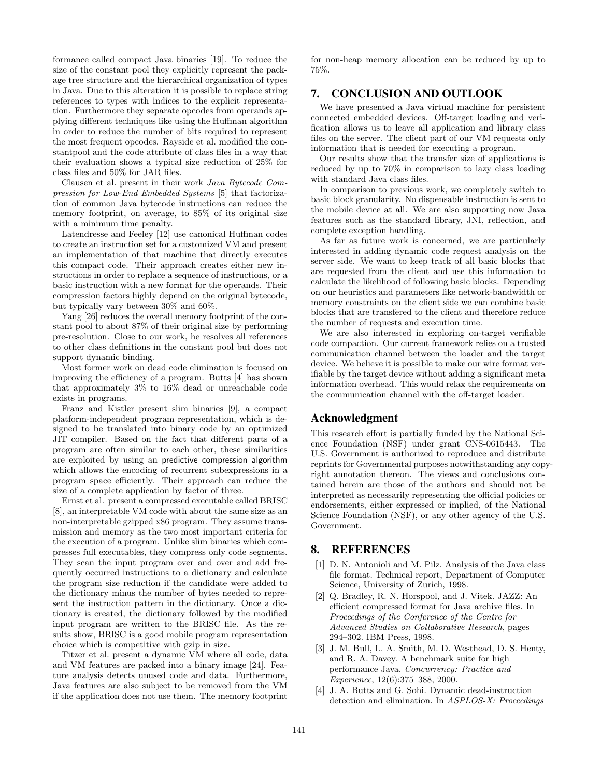formance called compact Java binaries [19]. To reduce the size of the constant pool they explicitly represent the package tree structure and the hierarchical organization of types in Java. Due to this alteration it is possible to replace string references to types with indices to the explicit representation. Furthermore they separate opcodes from operands applying different techniques like using the Huffman algorithm in order to reduce the number of bits required to represent the most frequent opcodes. Rayside et al. modified the constantpool and the code attribute of class files in a way that their evaluation shows a typical size reduction of 25% for class files and 50% for JAR files.

Clausen et al. present in their work Java Bytecode Compression for Low-End Embedded Systems [5] that factorization of common Java bytecode instructions can reduce the memory footprint, on average, to 85% of its original size with a minimum time penalty.

Latendresse and Feeley [12] use canonical Huffman codes to create an instruction set for a customized VM and present an implementation of that machine that directly executes this compact code. Their approach creates either new instructions in order to replace a sequence of instructions, or a basic instruction with a new format for the operands. Their compression factors highly depend on the original bytecode, but typically vary between 30% and 60%.

Yang [26] reduces the overall memory footprint of the constant pool to about 87% of their original size by performing pre-resolution. Close to our work, he resolves all references to other class definitions in the constant pool but does not support dynamic binding.

Most former work on dead code elimination is focused on improving the efficiency of a program. Butts [4] has shown that approximately 3% to 16% dead or unreachable code exists in programs.

Franz and Kistler present slim binaries [9], a compact platform-independent program representation, which is designed to be translated into binary code by an optimized JIT compiler. Based on the fact that different parts of a program are often similar to each other, these similarities are exploited by using an predictive compression algorithm which allows the encoding of recurrent subexpressions in a program space efficiently. Their approach can reduce the size of a complete application by factor of three.

Ernst et al. present a compressed executable called BRISC [8], an interpretable VM code with about the same size as an non-interpretable gzipped x86 program. They assume transmission and memory as the two most important criteria for the execution of a program. Unlike slim binaries which compresses full executables, they compress only code segments. They scan the input program over and over and add frequently occurred instructions to a dictionary and calculate the program size reduction if the candidate were added to the dictionary minus the number of bytes needed to represent the instruction pattern in the dictionary. Once a dictionary is created, the dictionary followed by the modified input program are written to the BRISC file. As the results show, BRISC is a good mobile program representation choice which is competitive with gzip in size.

Titzer et al. present a dynamic VM where all code, data and VM features are packed into a binary image [24]. Feature analysis detects unused code and data. Furthermore, Java features are also subject to be removed from the VM if the application does not use them. The memory footprint for non-heap memory allocation can be reduced by up to 75%.

#### 7. CONCLUSION AND OUTLOOK

We have presented a Java virtual machine for persistent connected embedded devices. Off-target loading and verification allows us to leave all application and library class files on the server. The client part of our VM requests only information that is needed for executing a program.

Our results show that the transfer size of applications is reduced by up to 70% in comparison to lazy class loading with standard Java class files.

In comparison to previous work, we completely switch to basic block granularity. No dispensable instruction is sent to the mobile device at all. We are also supporting now Java features such as the standard library, JNI, reflection, and complete exception handling.

As far as future work is concerned, we are particularly interested in adding dynamic code request analysis on the server side. We want to keep track of all basic blocks that are requested from the client and use this information to calculate the likelihood of following basic blocks. Depending on our heuristics and parameters like network-bandwidth or memory constraints on the client side we can combine basic blocks that are transfered to the client and therefore reduce the number of requests and execution time.

We are also interested in exploring on-target verifiable code compaction. Our current framework relies on a trusted communication channel between the loader and the target device. We believe it is possible to make our wire format verifiable by the target device without adding a significant meta information overhead. This would relax the requirements on the communication channel with the off-target loader.

#### Acknowledgment

This research effort is partially funded by the National Science Foundation (NSF) under grant CNS-0615443. The U.S. Government is authorized to reproduce and distribute reprints for Governmental purposes notwithstanding any copyright annotation thereon. The views and conclusions contained herein are those of the authors and should not be interpreted as necessarily representing the official policies or endorsements, either expressed or implied, of the National Science Foundation (NSF), or any other agency of the U.S. Government.

# 8. REFERENCES

- [1] D. N. Antonioli and M. Pilz. Analysis of the Java class file format. Technical report, Department of Computer Science, University of Zurich, 1998.
- [2] Q. Bradley, R. N. Horspool, and J. Vitek. JAZZ: An efficient compressed format for Java archive files. In Proceedings of the Conference of the Centre for Advanced Studies on Collaborative Research, pages 294–302. IBM Press, 1998.
- [3] J. M. Bull, L. A. Smith, M. D. Westhead, D. S. Henty, and R. A. Davey. A benchmark suite for high performance Java. Concurrency: Practice and Experience, 12(6):375–388, 2000.
- [4] J. A. Butts and G. Sohi. Dynamic dead-instruction detection and elimination. In ASPLOS-X: Proceedings